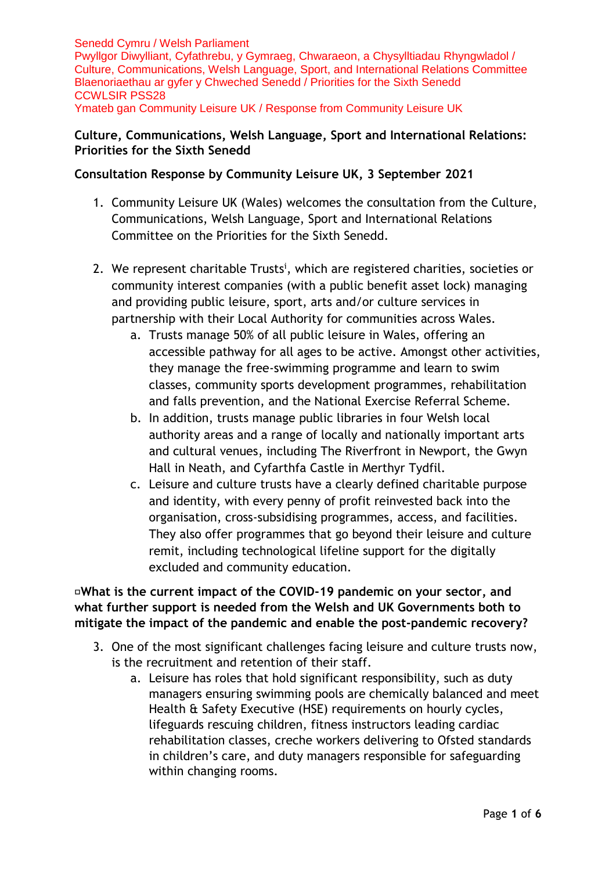Senedd Cymru / Welsh Parliament Pwyllgor Diwylliant, Cyfathrebu, y Gymraeg, Chwaraeon, a Chysylltiadau Rhyngwladol / Culture, Communications, Welsh Language, Sport, and International Relations Committee Blaenoriaethau ar gyfer y Chweched Senedd / Priorities for the Sixth Senedd CCWLSIR PSS28 Ymateb gan Community Leisure UK / Response from Community Leisure UK

## **Culture, Communications, Welsh Language, Sport and International Relations: Priorities for the Sixth Senedd**

## **Consultation Response by Community Leisure UK, 3 September 2021**

- 1. Community Leisure UK (Wales) welcomes the consultation from the Culture, Communications, Welsh Language, Sport and International Relations Committee on the Priorities for the Sixth Senedd.
- 2. We represent charitable Trusts<sup>i</sup>, which are registered charities, societies or community interest companies (with a public benefit asset lock) managing and providing public leisure, sport, arts and/or culture services in partnership with their Local Authority for communities across Wales.
	- a. Trusts manage 50% of all public leisure in Wales, offering an accessible pathway for all ages to be active. Amongst other activities, they manage the free-swimming programme and learn to swim classes, community sports development programmes, rehabilitation and falls prevention, and the National Exercise Referral Scheme.
	- b. In addition, trusts manage public libraries in four Welsh local authority areas and a range of locally and nationally important arts and cultural venues, including The Riverfront in Newport, the Gwyn Hall in Neath, and Cyfarthfa Castle in Merthyr Tydfil.
	- c. Leisure and culture trusts have a clearly defined charitable purpose and identity, with every penny of profit reinvested back into the organisation, cross-subsidising programmes, access, and facilities. They also offer programmes that go beyond their leisure and culture remit, including technological lifeline support for the digitally excluded and community education.

**What is the current impact of the COVID-19 pandemic on your sector, and what further support is needed from the Welsh and UK Governments both to mitigate the impact of the pandemic and enable the post-pandemic recovery?**

- 3. One of the most significant challenges facing leisure and culture trusts now, is the recruitment and retention of their staff.
	- a. Leisure has roles that hold significant responsibility, such as duty managers ensuring swimming pools are chemically balanced and meet Health & Safety Executive (HSE) requirements on hourly cycles, lifeguards rescuing children, fitness instructors leading cardiac rehabilitation classes, creche workers delivering to Ofsted standards in children's care, and duty managers responsible for safeguarding within changing rooms.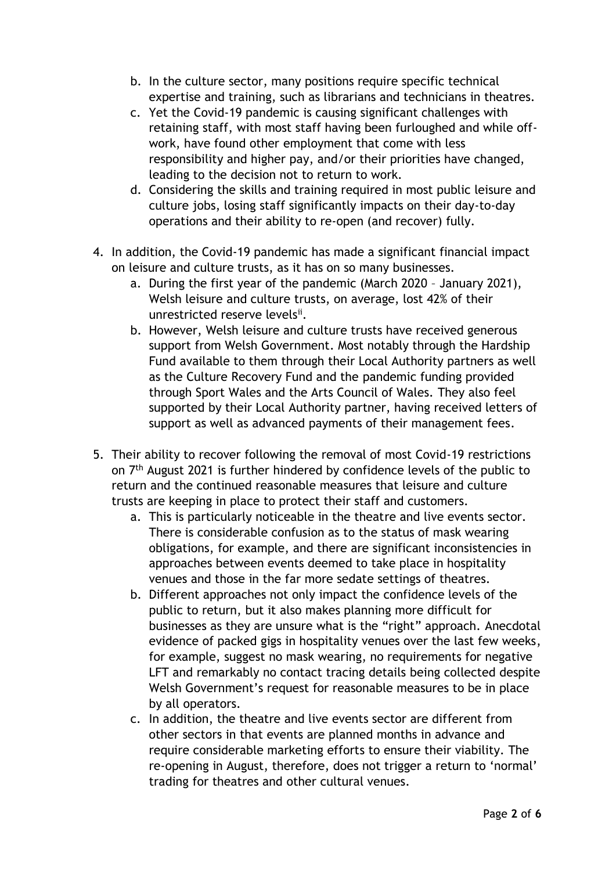- b. In the culture sector, many positions require specific technical expertise and training, such as librarians and technicians in theatres.
- c. Yet the Covid-19 pandemic is causing significant challenges with retaining staff, with most staff having been furloughed and while offwork, have found other employment that come with less responsibility and higher pay, and/or their priorities have changed, leading to the decision not to return to work.
- d. Considering the skills and training required in most public leisure and culture jobs, losing staff significantly impacts on their day-to-day operations and their ability to re-open (and recover) fully.
- 4. In addition, the Covid-19 pandemic has made a significant financial impact on leisure and culture trusts, as it has on so many businesses.
	- a. During the first year of the pandemic (March 2020 January 2021), Welsh leisure and culture trusts, on average, lost 42% of their unrestricted reserve levelsii.
	- b. However, Welsh leisure and culture trusts have received generous support from Welsh Government. Most notably through the Hardship Fund available to them through their Local Authority partners as well as the Culture Recovery Fund and the pandemic funding provided through Sport Wales and the Arts Council of Wales. They also feel supported by their Local Authority partner, having received letters of support as well as advanced payments of their management fees.
- 5. Their ability to recover following the removal of most Covid-19 restrictions on 7<sup>th</sup> August 2021 is further hindered by confidence levels of the public to return and the continued reasonable measures that leisure and culture trusts are keeping in place to protect their staff and customers.
	- a. This is particularly noticeable in the theatre and live events sector. There is considerable confusion as to the status of mask wearing obligations, for example, and there are significant inconsistencies in approaches between events deemed to take place in hospitality venues and those in the far more sedate settings of theatres.
	- b. Different approaches not only impact the confidence levels of the public to return, but it also makes planning more difficult for businesses as they are unsure what is the "right" approach. Anecdotal evidence of packed gigs in hospitality venues over the last few weeks, for example, suggest no mask wearing, no requirements for negative LFT and remarkably no contact tracing details being collected despite Welsh Government's request for reasonable measures to be in place by all operators.
	- c. In addition, the theatre and live events sector are different from other sectors in that events are planned months in advance and require considerable marketing efforts to ensure their viability. The re-opening in August, therefore, does not trigger a return to 'normal' trading for theatres and other cultural venues.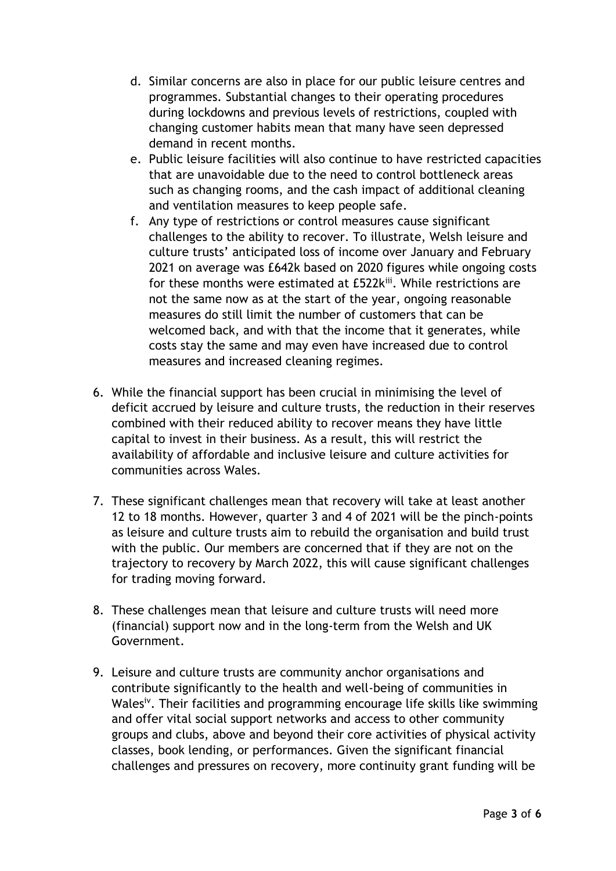- d. Similar concerns are also in place for our public leisure centres and programmes. Substantial changes to their operating procedures during lockdowns and previous levels of restrictions, coupled with changing customer habits mean that many have seen depressed demand in recent months.
- e. Public leisure facilities will also continue to have restricted capacities that are unavoidable due to the need to control bottleneck areas such as changing rooms, and the cash impact of additional cleaning and ventilation measures to keep people safe.
- f. Any type of restrictions or control measures cause significant challenges to the ability to recover. To illustrate, Welsh leisure and culture trusts' anticipated loss of income over January and February 2021 on average was £642k based on 2020 figures while ongoing costs for these months were estimated at £522kiii. While restrictions are not the same now as at the start of the year, ongoing reasonable measures do still limit the number of customers that can be welcomed back, and with that the income that it generates, while costs stay the same and may even have increased due to control measures and increased cleaning regimes.
- 6. While the financial support has been crucial in minimising the level of deficit accrued by leisure and culture trusts, the reduction in their reserves combined with their reduced ability to recover means they have little capital to invest in their business. As a result, this will restrict the availability of affordable and inclusive leisure and culture activities for communities across Wales.
- 7. These significant challenges mean that recovery will take at least another 12 to 18 months. However, quarter 3 and 4 of 2021 will be the pinch-points as leisure and culture trusts aim to rebuild the organisation and build trust with the public. Our members are concerned that if they are not on the trajectory to recovery by March 2022, this will cause significant challenges for trading moving forward.
- 8. These challenges mean that leisure and culture trusts will need more (financial) support now and in the long-term from the Welsh and UK Government.
- 9. Leisure and culture trusts are community anchor organisations and contribute significantly to the health and well-being of communities in Wales<sup>iv</sup>. Their facilities and programming encourage life skills like swimming and offer vital social support networks and access to other community groups and clubs, above and beyond their core activities of physical activity classes, book lending, or performances. Given the significant financial challenges and pressures on recovery, more continuity grant funding will be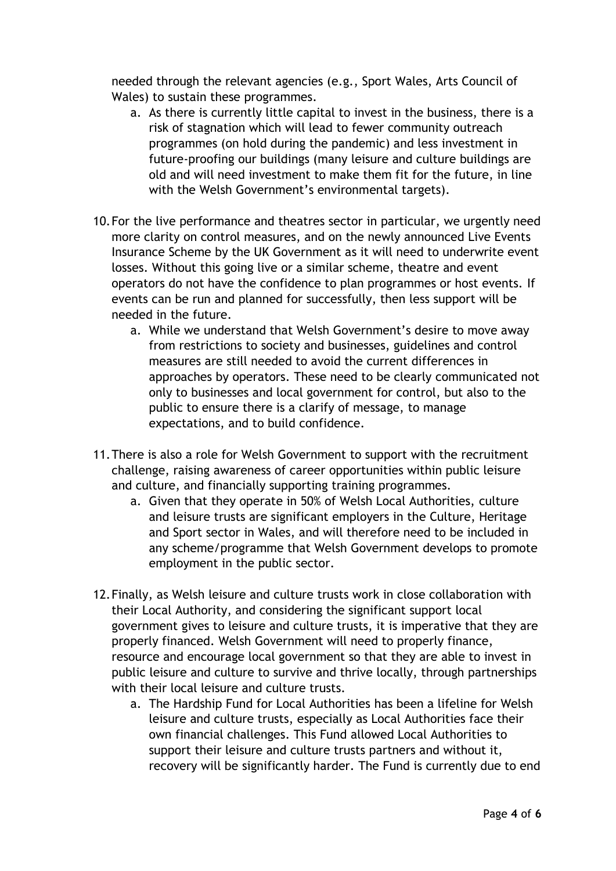needed through the relevant agencies (e.g., Sport Wales, Arts Council of Wales) to sustain these programmes.

- a. As there is currently little capital to invest in the business, there is a risk of stagnation which will lead to fewer community outreach programmes (on hold during the pandemic) and less investment in future-proofing our buildings (many leisure and culture buildings are old and will need investment to make them fit for the future, in line with the Welsh Government's environmental targets).
- 10.For the live performance and theatres sector in particular, we urgently need more clarity on control measures, and on the newly announced Live Events Insurance Scheme by the UK Government as it will need to underwrite event losses. Without this going live or a similar scheme, theatre and event operators do not have the confidence to plan programmes or host events. If events can be run and planned for successfully, then less support will be needed in the future.
	- a. While we understand that Welsh Government's desire to move away from restrictions to society and businesses, guidelines and control measures are still needed to avoid the current differences in approaches by operators. These need to be clearly communicated not only to businesses and local government for control, but also to the public to ensure there is a clarify of message, to manage expectations, and to build confidence.
- 11.There is also a role for Welsh Government to support with the recruitment challenge, raising awareness of career opportunities within public leisure and culture, and financially supporting training programmes.
	- a. Given that they operate in 50% of Welsh Local Authorities, culture and leisure trusts are significant employers in the Culture, Heritage and Sport sector in Wales, and will therefore need to be included in any scheme/programme that Welsh Government develops to promote employment in the public sector.
- 12.Finally, as Welsh leisure and culture trusts work in close collaboration with their Local Authority, and considering the significant support local government gives to leisure and culture trusts, it is imperative that they are properly financed. Welsh Government will need to properly finance, resource and encourage local government so that they are able to invest in public leisure and culture to survive and thrive locally, through partnerships with their local leisure and culture trusts.
	- a. The Hardship Fund for Local Authorities has been a lifeline for Welsh leisure and culture trusts, especially as Local Authorities face their own financial challenges. This Fund allowed Local Authorities to support their leisure and culture trusts partners and without it, recovery will be significantly harder. The Fund is currently due to end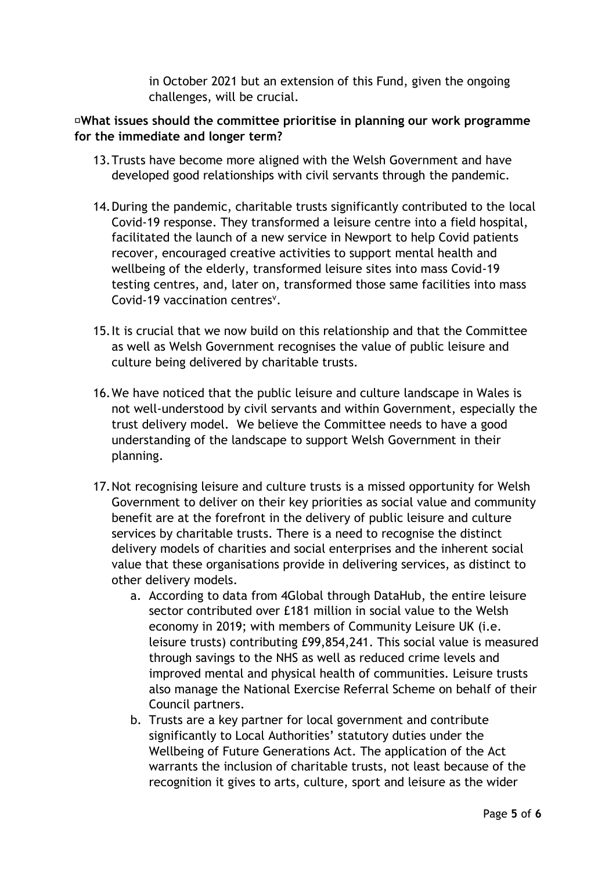in October 2021 but an extension of this Fund, given the ongoing challenges, will be crucial.

## **What issues should the committee prioritise in planning our work programme for the immediate and longer term?**

- 13.Trusts have become more aligned with the Welsh Government and have developed good relationships with civil servants through the pandemic.
- 14.During the pandemic, charitable trusts significantly contributed to the local Covid-19 response. They transformed a leisure centre into a field hospital, facilitated the launch of a new service in Newport to help Covid patients recover, encouraged creative activities to support mental health and wellbeing of the elderly, transformed leisure sites into mass Covid-19 testing centres, and, later on, transformed those same facilities into mass Covid-19 vaccination centres<sup>v</sup>.
- 15.It is crucial that we now build on this relationship and that the Committee as well as Welsh Government recognises the value of public leisure and culture being delivered by charitable trusts.
- 16.We have noticed that the public leisure and culture landscape in Wales is not well-understood by civil servants and within Government, especially the trust delivery model. We believe the Committee needs to have a good understanding of the landscape to support Welsh Government in their planning.
- 17.Not recognising leisure and culture trusts is a missed opportunity for Welsh Government to deliver on their key priorities as social value and community benefit are at the forefront in the delivery of public leisure and culture services by charitable trusts. There is a need to recognise the distinct delivery models of charities and social enterprises and the inherent social value that these organisations provide in delivering services, as distinct to other delivery models.
	- a. According to data from 4Global through DataHub, the entire leisure sector contributed over £181 million in social value to the Welsh economy in 2019; with members of Community Leisure UK (i.e. leisure trusts) contributing £99,854,241. This social value is measured through savings to the NHS as well as reduced crime levels and improved mental and physical health of communities. Leisure trusts also manage the National Exercise Referral Scheme on behalf of their Council partners.
	- b. Trusts are a key partner for local government and contribute significantly to Local Authorities' statutory duties under the Wellbeing of Future Generations Act. The application of the Act warrants the inclusion of charitable trusts, not least because of the recognition it gives to arts, culture, sport and leisure as the wider